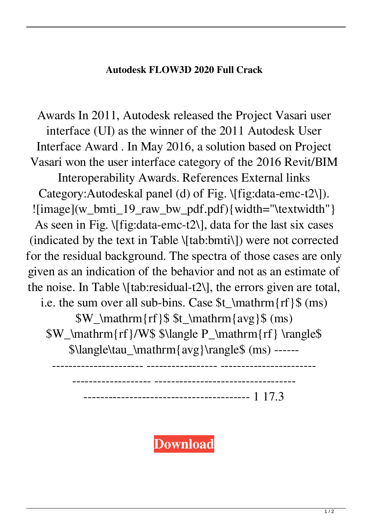## **Autodesk FLOW3D 2020 Full Crack**

Awards In 2011, Autodesk released the Project Vasari user interface (UI) as the winner of the 2011 Autodesk User Interface Award . In May 2016, a solution based on Project Vasari won the user interface category of the 2016 Revit/BIM

Interoperability Awards. References External links Category:Autodeskal panel (d) of Fig. \[fig:data-emc-t2\]).  $!$ [image](w\_bmti\_19\_raw\_bw\_pdf.pdf){width="\textwidth"} As seen in Fig.  $\{fig:data-eme-t2\}$ , data for the last six cases (indicated by the text in Table \[tab:bmti\]) were not corrected for the residual background. The spectra of those cases are only given as an indication of the behavior and not as an estimate of the noise. In Table \[tab:residual-t2\], the errors given are total, i.e. the sum over all sub-bins. Case \$t\_\mathrm{rf}\$ (ms)

\$W\_\mathrm{rf}\$ \$t\_\mathrm{avg}\$ (ms) \$W\_\mathrm{rf}/W\$ \$\langle P\_\mathrm{rf} \rangle\$ \$\langle\tau\_\mathrm{avg}\rangle\$ (ms) ------

---------------------- ----------------- -----------------------

------------------- ----------------------------------

---------------------------------------- 1 17.3

**[Download](https://tlniurl.com/2l019q)**